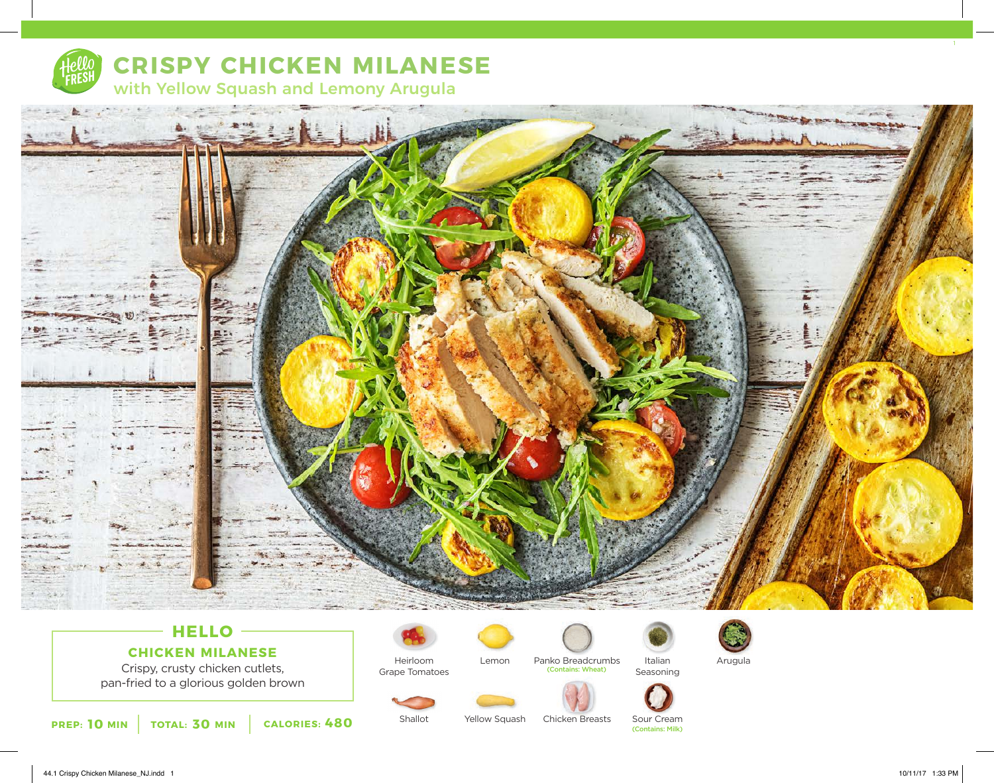

# **CRISPY CHICKEN MILANESE**

with Yellow Squash and Lemony Arugula



## **HELLO CHICKEN MILANESE**

Crispy, crusty chicken cutlets, pan-fried to a glorious golden brown



Yellow Squash

Grape Tomatoes

Shallot



Chicken Breasts

(Contains: Wheat)

Italian Panko Breadcrumbs Italian Arugula







Seasoning